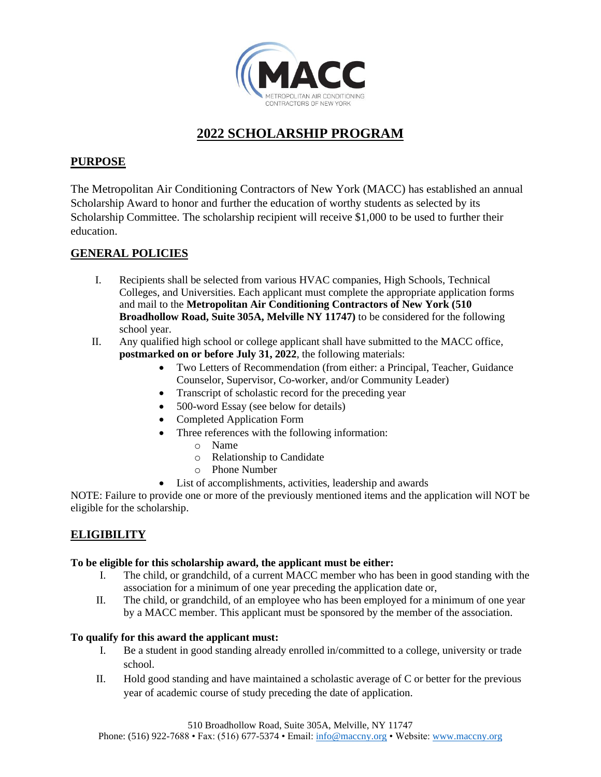

## **2022 SCHOLARSHIP PROGRAM**

## **PURPOSE**

The Metropolitan Air Conditioning Contractors of New York (MACC) has established an annual Scholarship Award to honor and further the education of worthy students as selected by its Scholarship Committee. The scholarship recipient will receive \$1,000 to be used to further their education.

### **GENERAL POLICIES**

- I. Recipients shall be selected from various HVAC companies, High Schools, Technical Colleges, and Universities. Each applicant must complete the appropriate application forms and mail to the **Metropolitan Air Conditioning Contractors of New York (510 Broadhollow Road, Suite 305A, Melville NY 11747)** to be considered for the following school year.
- II. Any qualified high school or college applicant shall have submitted to the MACC office, **postmarked on or before July 31, 2022**, the following materials:
	- Two Letters of Recommendation (from either: a Principal, Teacher, Guidance Counselor, Supervisor, Co-worker, and/or Community Leader)
	- Transcript of scholastic record for the preceding year
	- 500-word Essay (see below for details)
	- Completed Application Form
	- Three references with the following information:
		- o Name
		- o Relationship to Candidate
		- o Phone Number
	- List of accomplishments, activities, leadership and awards

NOTE: Failure to provide one or more of the previously mentioned items and the application will NOT be eligible for the scholarship.

## **ELIGIBILITY**

#### **To be eligible for this scholarship award, the applicant must be either:**

- I. The child, or grandchild, of a current MACC member who has been in good standing with the association for a minimum of one year preceding the application date or,
- II. The child, or grandchild, of an employee who has been employed for a minimum of one year by a MACC member. This applicant must be sponsored by the member of the association.

#### **To qualify for this award the applicant must:**

- I. Be a student in good standing already enrolled in/committed to a college, university or trade school.
- II. Hold good standing and have maintained a scholastic average of C or better for the previous year of academic course of study preceding the date of application.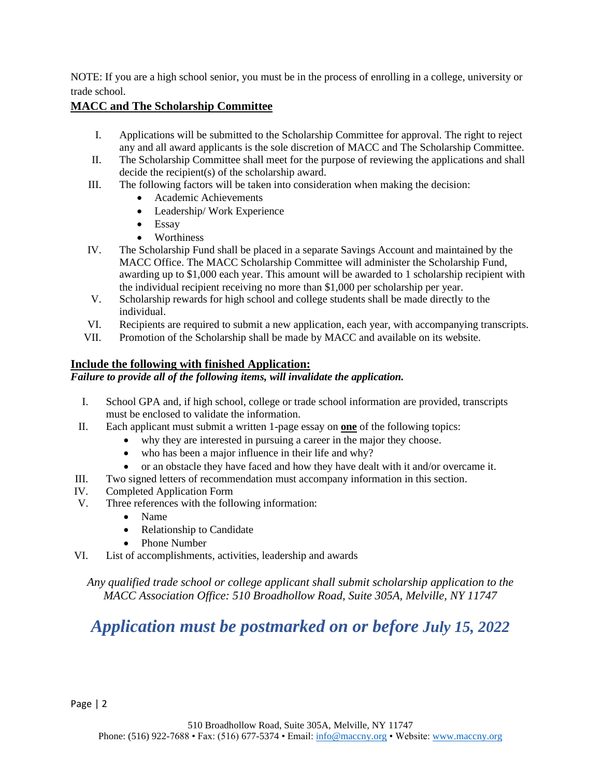NOTE: If you are a high school senior, you must be in the process of enrolling in a college, university or trade school.

### **MACC and The Scholarship Committee**

- I. Applications will be submitted to the Scholarship Committee for approval. The right to reject any and all award applicants is the sole discretion of MACC and The Scholarship Committee.
- II. The Scholarship Committee shall meet for the purpose of reviewing the applications and shall decide the recipient(s) of the scholarship award.
- III. The following factors will be taken into consideration when making the decision:
	- Academic Achievements
	- Leadership/ Work Experience
	- Essay
	- **Worthiness**
- IV. The Scholarship Fund shall be placed in a separate Savings Account and maintained by the MACC Office. The MACC Scholarship Committee will administer the Scholarship Fund, awarding up to \$1,000 each year. This amount will be awarded to 1 scholarship recipient with the individual recipient receiving no more than \$1,000 per scholarship per year.
- V. Scholarship rewards for high school and college students shall be made directly to the individual.
- VI. Recipients are required to submit a new application, each year, with accompanying transcripts.
- VII. Promotion of the Scholarship shall be made by MACC and available on its website.

### **Include the following with finished Application:**

### *Failure to provide all of the following items, will invalidate the application.*

- I. School GPA and, if high school, college or trade school information are provided, transcripts must be enclosed to validate the information.
- II. Each applicant must submit a written 1-page essay on **one** of the following topics:
	- why they are interested in pursuing a career in the major they choose.
	- who has been a major influence in their life and why?
	- or an obstacle they have faced and how they have dealt with it and/or overcame it.
- III. Two signed letters of recommendation must accompany information in this section.
- IV. Completed Application Form
- V. Three references with the following information:
	- Name
	- Relationship to Candidate
	- Phone Number
- VI. List of accomplishments, activities, leadership and awards

*Any qualified trade school or college applicant shall submit scholarship application to the MACC Association Office: 510 Broadhollow Road, Suite 305A, Melville, NY 11747*

# *Application must be postmarked on or before July 15, 2022*

Page | 2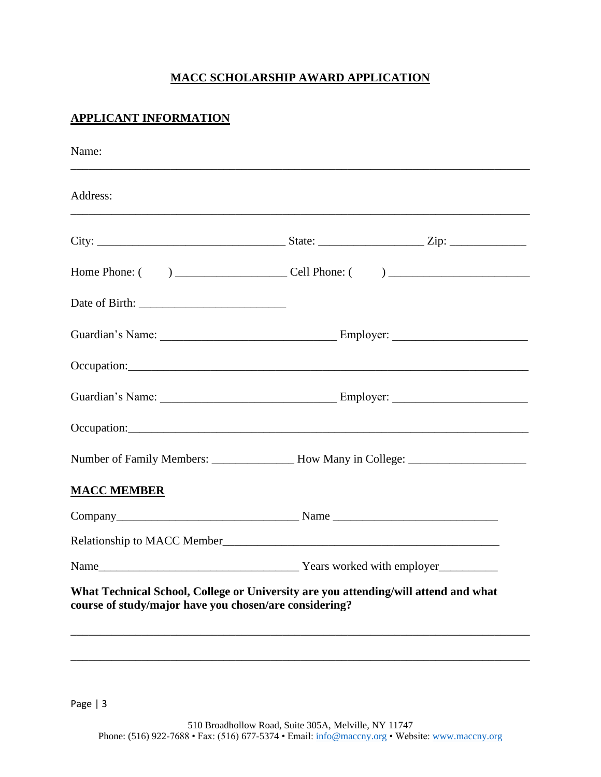## **MACC SCHOLARSHIP AWARD APPLICATION**

## **APPLICANT INFORMATION**

| Address:                                               |                                                                                     |
|--------------------------------------------------------|-------------------------------------------------------------------------------------|
|                                                        |                                                                                     |
|                                                        |                                                                                     |
|                                                        |                                                                                     |
|                                                        |                                                                                     |
|                                                        |                                                                                     |
|                                                        |                                                                                     |
|                                                        |                                                                                     |
|                                                        | Number of Family Members: __________________ How Many in College: _______________   |
| <b>MACC MEMBER</b>                                     |                                                                                     |
|                                                        |                                                                                     |
|                                                        |                                                                                     |
|                                                        |                                                                                     |
| course of study/major have you chosen/are considering? | What Technical School, College or University are you attending/will attend and what |

Page | 3

\_\_\_\_\_\_\_\_\_\_\_\_\_\_\_\_\_\_\_\_\_\_\_\_\_\_\_\_\_\_\_\_\_\_\_\_\_\_\_\_\_\_\_\_\_\_\_\_\_\_\_\_\_\_\_\_\_\_\_\_\_\_\_\_\_\_\_\_\_\_\_\_\_\_\_\_\_\_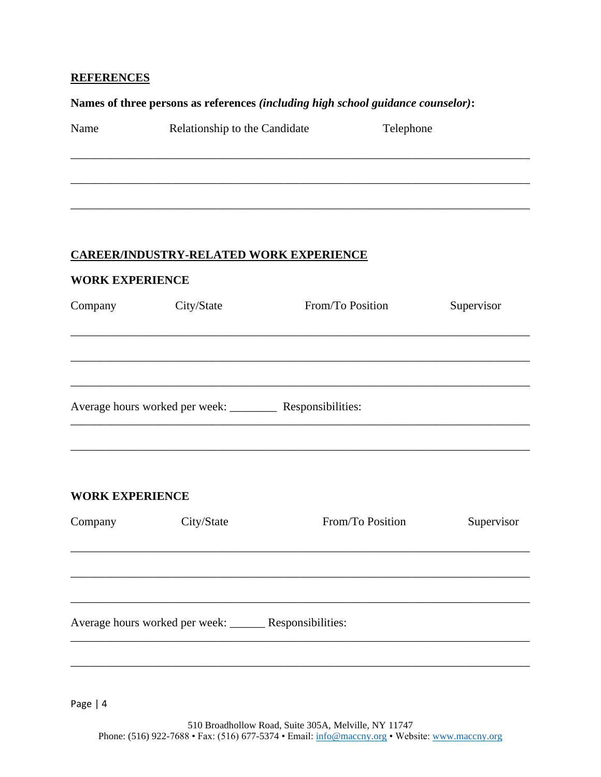### **REFERENCES**

### Names of three persons as references (including high school guidance counselor):

| Name | Relationship to the Candidate | Telephone |  |
|------|-------------------------------|-----------|--|
|      |                               |           |  |
|      |                               |           |  |
|      |                               |           |  |
|      |                               |           |  |
|      |                               |           |  |

## **CAREER/INDUSTRY-RELATED WORK EXPERIENCE**

| <b>WORK EXPERIENCE</b> |                                                         |                                                              |            |  |  |
|------------------------|---------------------------------------------------------|--------------------------------------------------------------|------------|--|--|
| Company                | City/State                                              | From/To Position                                             | Supervisor |  |  |
|                        |                                                         |                                                              |            |  |  |
|                        |                                                         |                                                              |            |  |  |
|                        |                                                         | Average hours worked per week: ___________ Responsibilities: |            |  |  |
|                        |                                                         |                                                              |            |  |  |
| <b>WORK EXPERIENCE</b> |                                                         |                                                              |            |  |  |
| Company                | City/State                                              | From/To Position                                             | Supervisor |  |  |
|                        |                                                         |                                                              |            |  |  |
|                        |                                                         |                                                              |            |  |  |
|                        | Average hours worked per week: ______ Responsibilities: |                                                              |            |  |  |
|                        |                                                         |                                                              |            |  |  |

Page | 4